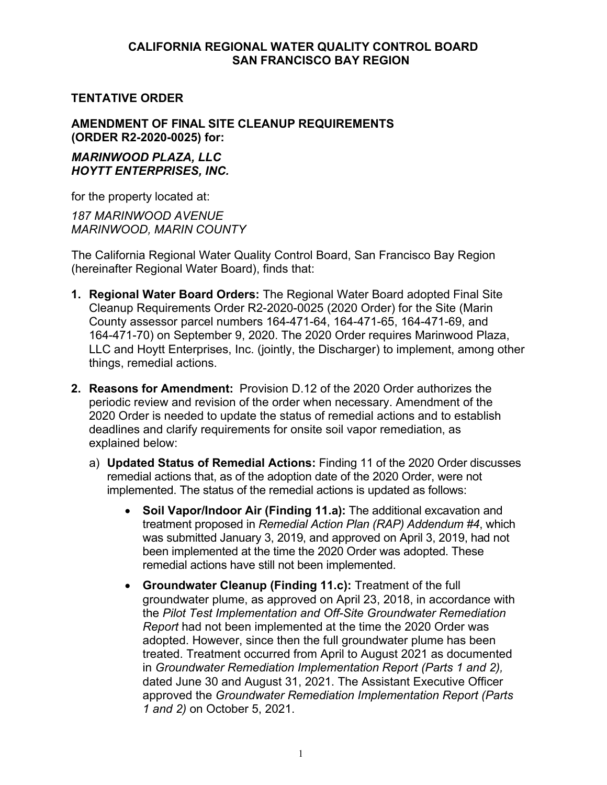### **CALIFORNIA REGIONAL WATER QUALITY CONTROL BOARD SAN FRANCISCO BAY REGION**

### **TENTATIVE ORDER**

### **AMENDMENT OF FINAL SITE CLEANUP REQUIREMENTS (ORDER R2-2020-0025) for:**

#### *MARINWOOD PLAZA, LLC HOYTT ENTERPRISES, INC.*

for the property located at:

*187 MARINWOOD AVENUE MARINWOOD, MARIN COUNTY*

The California Regional Water Quality Control Board, San Francisco Bay Region (hereinafter Regional Water Board), finds that:

- **1. Regional Water Board Orders:** The Regional Water Board adopted Final Site Cleanup Requirements Order R2-2020-0025 (2020 Order) for the Site (Marin County assessor parcel numbers 164-471-64, 164-471-65, 164-471-69, and 164-471-70) on September 9, 2020. The 2020 Order requires Marinwood Plaza, LLC and Hoytt Enterprises, Inc. (jointly, the Discharger) to implement, among other things, remedial actions.
- **2. Reasons for Amendment:** Provision D.12 of the 2020 Order authorizes the periodic review and revision of the order when necessary. Amendment of the 2020 Order is needed to update the status of remedial actions and to establish deadlines and clarify requirements for onsite soil vapor remediation, as explained below:
	- a) **Updated Status of Remedial Actions:** Finding 11 of the 2020 Order discusses remedial actions that, as of the adoption date of the 2020 Order, were not implemented. The status of the remedial actions is updated as follows:
		- · **Soil Vapor/Indoor Air (Finding 11.a):** The additional excavation and treatment proposed in *Remedial Action Plan (RAP) Addendum #4*, which was submitted January 3, 2019, and approved on April 3, 2019, had not been implemented at the time the 2020 Order was adopted. These remedial actions have still not been implemented.
		- · **Groundwater Cleanup (Finding 11.c):** Treatment of the full groundwater plume, as approved on April 23, 2018, in accordance with the *Pilot Test Implementation and Off-Site Groundwater Remediation Report* had not been implemented at the time the 2020 Order was adopted. However, since then the full groundwater plume has been treated. Treatment occurred from April to August 2021 as documented in *Groundwater Remediation Implementation Report (Parts 1 and 2),* dated June 30 and August 31, 2021. The Assistant Executive Officer approved the *Groundwater Remediation Implementation Report (Parts 1 and 2)* on October 5, 2021.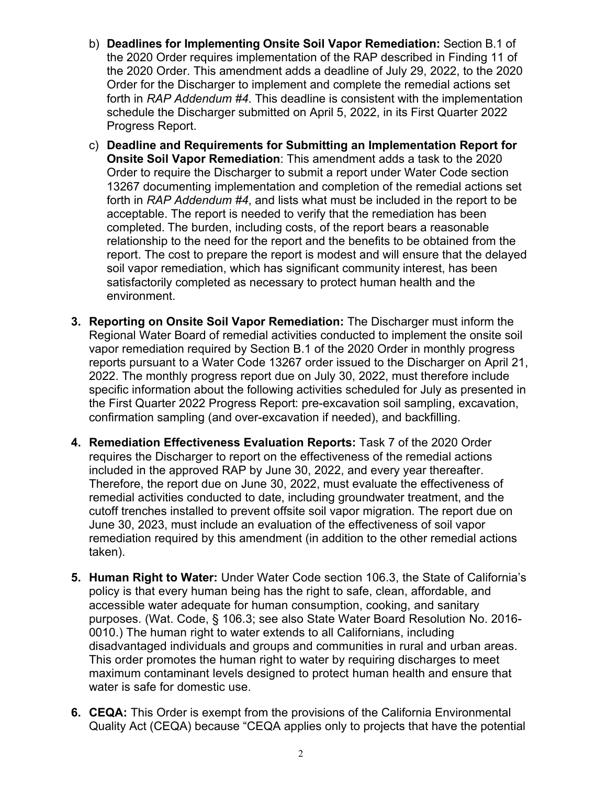- b) **Deadlines for Implementing Onsite Soil Vapor Remediation:** Section B.1 of the 2020 Order requires implementation of the RAP described in Finding 11 of the 2020 Order. This amendment adds a deadline of July 29, 2022, to the 2020 Order for the Discharger to implement and complete the remedial actions set forth in *RAP Addendum #4*. This deadline is consistent with the implementation schedule the Discharger submitted on April 5, 2022, in its First Quarter 2022 Progress Report.
- c) **Deadline and Requirements for Submitting an Implementation Report for Onsite Soil Vapor Remediation**: This amendment adds a task to the 2020 Order to require the Discharger to submit a report under Water Code section 13267 documenting implementation and completion of the remedial actions set forth in *RAP Addendum #4*, and lists what must be included in the report to be acceptable. The report is needed to verify that the remediation has been completed. The burden, including costs, of the report bears a reasonable relationship to the need for the report and the benefits to be obtained from the report. The cost to prepare the report is modest and will ensure that the delayed soil vapor remediation, which has significant community interest, has been satisfactorily completed as necessary to protect human health and the environment.
- **3. Reporting on Onsite Soil Vapor Remediation:** The Discharger must inform the Regional Water Board of remedial activities conducted to implement the onsite soil vapor remediation required by Section B.1 of the 2020 Order in monthly progress reports pursuant to a Water Code 13267 order issued to the Discharger on April 21, 2022. The monthly progress report due on July 30, 2022, must therefore include specific information about the following activities scheduled for July as presented in the First Quarter 2022 Progress Report: pre-excavation soil sampling, excavation, confirmation sampling (and over-excavation if needed), and backfilling.
- **4. Remediation Effectiveness Evaluation Reports:** Task 7 of the 2020 Order requires the Discharger to report on the effectiveness of the remedial actions included in the approved RAP by June 30, 2022, and every year thereafter. Therefore, the report due on June 30, 2022, must evaluate the effectiveness of remedial activities conducted to date, including groundwater treatment, and the cutoff trenches installed to prevent offsite soil vapor migration. The report due on June 30, 2023, must include an evaluation of the effectiveness of soil vapor remediation required by this amendment (in addition to the other remedial actions taken).
- **5. Human Right to Water:** Under Water Code section 106.3, the State of California's policy is that every human being has the right to safe, clean, affordable, and accessible water adequate for human consumption, cooking, and sanitary purposes. (Wat. Code, § 106.3; see also State Water Board Resolution No. 2016- 0010.) The human right to water extends to all Californians, including disadvantaged individuals and groups and communities in rural and urban areas. This order promotes the human right to water by requiring discharges to meet maximum contaminant levels designed to protect human health and ensure that water is safe for domestic use.
- **6. CEQA:** This Order is exempt from the provisions of the California Environmental Quality Act (CEQA) because "CEQA applies only to projects that have the potential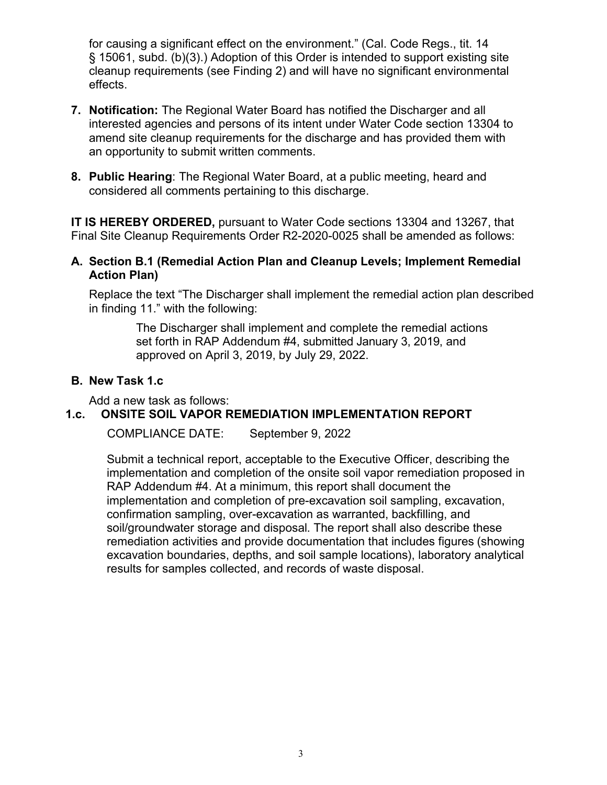for causing a significant effect on the environment." (Cal. Code Regs., tit. 14 § 15061, subd. (b)(3).) Adoption of this Order is intended to support existing site cleanup requirements (see Finding 2) and will have no significant environmental effects.

- **7. Notification:** The Regional Water Board has notified the Discharger and all interested agencies and persons of its intent under Water Code section 13304 to amend site cleanup requirements for the discharge and has provided them with an opportunity to submit written comments.
- **8. Public Hearing**: The Regional Water Board, at a public meeting, heard and considered all comments pertaining to this discharge.

**IT IS HEREBY ORDERED,** pursuant to Water Code sections 13304 and 13267, that Final Site Cleanup Requirements Order R2-2020-0025 shall be amended as follows:

## **A. Section B.1 (Remedial Action Plan and Cleanup Levels; Implement Remedial Action Plan)**

Replace the text "The Discharger shall implement the remedial action plan described in finding 11." with the following:

> The Discharger shall implement and complete the remedial actions set forth in RAP Addendum #4, submitted January 3, 2019, and approved on April 3, 2019, by July 29, 2022.

## **B. New Task 1.c**

Add a new task as follows:

# **1.c. ONSITE SOIL VAPOR REMEDIATION IMPLEMENTATION REPORT**

COMPLIANCE DATE: September 9, 2022

Submit a technical report, acceptable to the Executive Officer, describing the implementation and completion of the onsite soil vapor remediation proposed in RAP Addendum #4. At a minimum, this report shall document the implementation and completion of pre-excavation soil sampling, excavation, confirmation sampling, over-excavation as warranted, backfilling, and soil/groundwater storage and disposal. The report shall also describe these remediation activities and provide documentation that includes figures (showing excavation boundaries, depths, and soil sample locations), laboratory analytical results for samples collected, and records of waste disposal.